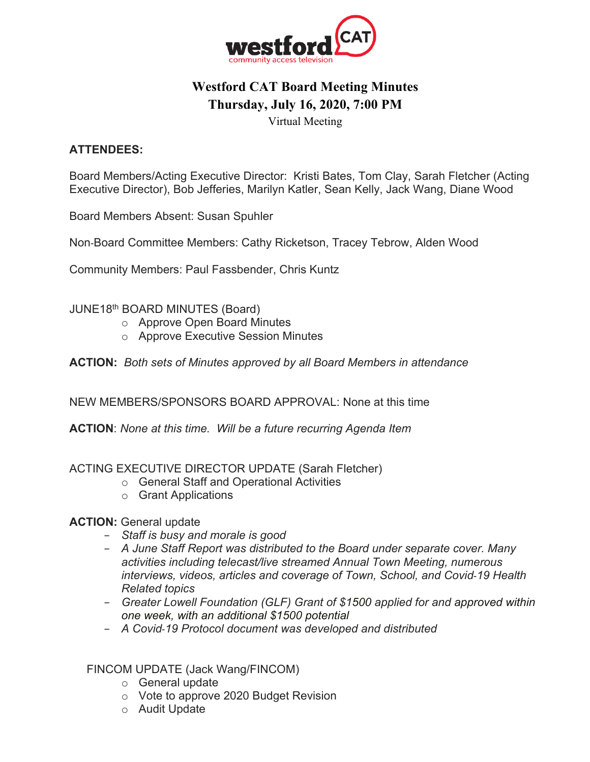

# **Westford CAT Board Meeting Minutes Thursday, July 16, 2020, 7:00 PM**

Virtual Meeting

# **ATTENDEES:**

Board Members/Acting Executive Director: Kristi Bates, Tom Clay, Sarah Fletcher (Acting Executive Director), Bob Jefferies, Marilyn Katler, Sean Kelly, Jack Wang, Diane Wood

Board Members Absent: Susan Spuhler

Non-Board Committee Members: Cathy Ricketson, Tracey Tebrow, Alden Wood

Community Members: Paul Fassbender, Chris Kuntz

#### JUNE18th BOARD MINUTES (Board)

- o Approve Open Board Minutes
- o Approve Executive Session Minutes

**ACTION:** *Both sets of Minutes approved by all Board Members in attendance*

NEW MEMBERS/SPONSORS BOARD APPROVAL: None at this time

**ACTION**: *None at this time. Will be a future recurring Agenda Item*

#### ACTING EXECUTIVE DIRECTOR UPDATE (Sarah Fletcher)

- o General Staff and Operational Activities
- o Grant Applications

#### **ACTION: General update**

- − *Staff is busy and morale is good*
- − *A June Staff Report was distributed to the Board under separate cover. Many activities including telecast/live streamed Annual Town Meeting, numerous interviews, videos, articles and coverage of Town, School, and Covid*-*19 Health Related topics*
- − *Greater Lowell Foundation (GLF) Grant of \$1500 applied for and approved within one week, with an additional \$1500 potential*
- − *A Covid*-*19 Protocol document was developed and distributed*

## FINCOM UPDATE (Jack Wang/FINCOM)

- o General update
- o Vote to approve 2020 Budget Revision
- o Audit Update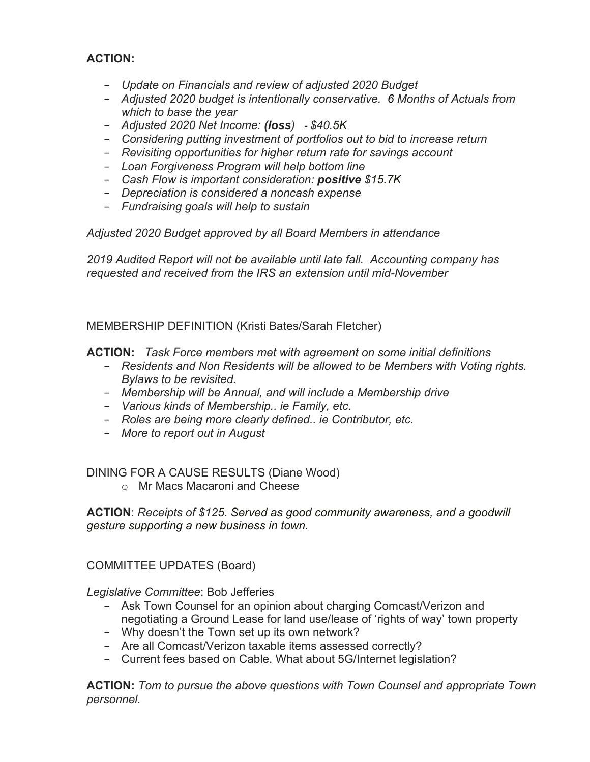## **ACTION:**

- − *Update on Financials and review of adjusted 2020 Budget*
- − *Adjusted 2020 budget is intentionally conservative. 6 Months of Actuals from which to base the year*
- − *Adjusted 2020 Net Income: (loss) - \$40.5K*
- − *Considering putting investment of portfolios out to bid to increase return*
- − *Revisiting opportunities for higher return rate for savings account*
- − *Loan Forgiveness Program will help bottom line*
- − *Cash Flow is important consideration: positive \$15.7K*
- − *Depreciation is considered a noncash expense*
- − *Fundraising goals will help to sustain*

*Adjusted 2020 Budget approved by all Board Members in attendance*

*2019 Audited Report will not be available until late fall. Accounting company has requested and received from the IRS an extension until mid-November*

MEMBERSHIP DEFINITION (Kristi Bates/Sarah Fletcher)

**ACTION:** *Task Force members met with agreement on some initial definitions*

- − *Residents and Non Residents will be allowed to be Members with Voting rights. Bylaws to be revisited.*
- − *Membership will be Annual, and will include a Membership drive*
- − *Various kinds of Membership.. ie Family, etc.*
- − *Roles are being more clearly defined.. ie Contributor, etc.*
- − *More to report out in August*

DINING FOR A CAUSE RESULTS (Diane Wood)

o Mr Macs Macaroni and Cheese

**ACTION**: *Receipts of \$125. Served as good community awareness, and a goodwill gesture supporting a new business in town.*

COMMITTEE UPDATES (Board)

*Legislative Committee*: Bob Jefferies

- − Ask Town Counsel for an opinion about charging Comcast/Verizon and negotiating a Ground Lease for land use/lease of 'rights of way' town property
- − Why doesn't the Town set up its own network?
- − Are all Comcast/Verizon taxable items assessed correctly?
- − Current fees based on Cable. What about 5G/Internet legislation?

**ACTION:** *Tom to pursue the above questions with Town Counsel and appropriate Town personnel.*